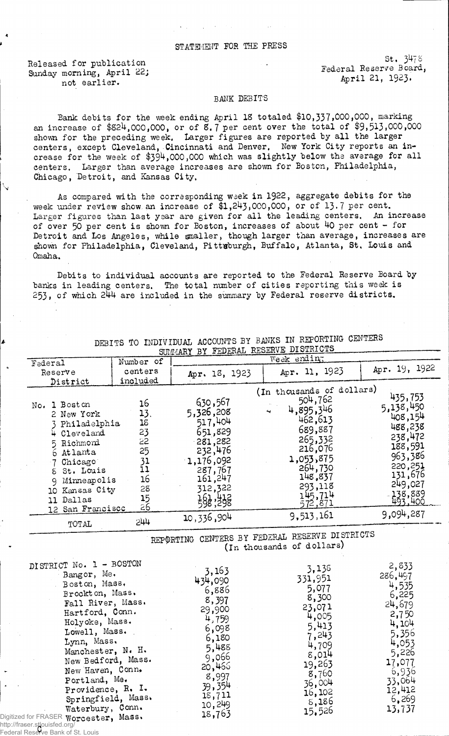Released for publication Sunday morning, April 22; not earlier.

**s t. 347 s** Federal Reserve Board, April 21, 1923.

## BANK DEBITS

Bank debits for the week ending April 18 totaled \$10,337,000,000, marking an increase of  $$824,000,000$ , or of  $8.7$  per cent over the total of  $\$9,513,000,000$ shown for the preceding week. Larger figures are reported by all the larger centers, except Cleveland, Cincinnati and Denver, New York City reports an increase for the week of \$394,000,000 which was slightly below the average for all centers. Larger than average increases are shown for Boston, Philadelphia, Chicago, Detroit, and Kansas City,

As compared with the corresponding week in 1922, aggregate debits for the week under review show, an increase of \$1,243,000,000, or of 13-7 per cent. Larger figures than last year are given for all the leading centers. An increase of over 50 per cent is shown for Boston, increases of about 40 per cent - for Detroit and Los Angeles, while smaller, though larger than average, increases are shown for Philadelphia, Cleveland, Pittsburgh, Buffalo, Atlanta, St. Louis and Omaha.

Debits to individual accounts are reported to the Federal Reserve Board by banks in leading centers. The total number of cities reporting this week is  $253$ , of which  $244$  are included in the summary by Federal reserve districts.

| SUMMARY BY FEDERAL RESERVE DISTRICTS                                                                                                                                                                                                                                                                                                                         |                                                                                    |                                                                                                                                                      |                                                                                                                                                     |                                                                                                                                                     |  |
|--------------------------------------------------------------------------------------------------------------------------------------------------------------------------------------------------------------------------------------------------------------------------------------------------------------------------------------------------------------|------------------------------------------------------------------------------------|------------------------------------------------------------------------------------------------------------------------------------------------------|-----------------------------------------------------------------------------------------------------------------------------------------------------|-----------------------------------------------------------------------------------------------------------------------------------------------------|--|
|                                                                                                                                                                                                                                                                                                                                                              | Number of                                                                          | Week ending                                                                                                                                          |                                                                                                                                                     |                                                                                                                                                     |  |
| Federal<br>Reserve                                                                                                                                                                                                                                                                                                                                           | centers                                                                            | Apr. 13, 1923                                                                                                                                        | Apr. 11, 1923                                                                                                                                       | Apr. 19, 1922                                                                                                                                       |  |
| District<br>No. 1 Boston<br>2 New York<br>3 Philadelphia<br>4 Cleveland<br>5 Richmond<br>6 Atlanta<br>7 Chicago<br>8 St. Louis<br>9 Minneapolis<br>10 Kansas City                                                                                                                                                                                            | included<br>16<br>13.<br>18<br>23<br>22<br>25<br>31<br>$\overline{11}$<br>16<br>28 | 630,567<br>5,326,208<br>517,404<br>651,829<br>$-281,282$<br>232,476<br>1,176,092<br>287,767<br>161,247<br>312,322                                    | (In thousands of dollars)<br>504,762<br>4,895,346<br>462,613<br>689,887<br>265,332<br>216,076<br>1,053,875<br>264,730<br>148,837<br>293,118         | 435,753<br>5,138,450<br>408,154<br>488,238<br>238,472<br>188,591<br>963,386<br>220,251<br>131,676<br>249,027                                        |  |
| 11 Dallas<br>12 San Francisco                                                                                                                                                                                                                                                                                                                                | 15<br>$2\bar{6}$                                                                   | $\frac{1}{5}$ 98;298                                                                                                                                 | 145,714<br>572,871                                                                                                                                  | 138,889<br>493,400                                                                                                                                  |  |
| TOTAL                                                                                                                                                                                                                                                                                                                                                        | 544                                                                                | 10, 336, 904                                                                                                                                         | 9,513,161                                                                                                                                           | 9,094,287                                                                                                                                           |  |
|                                                                                                                                                                                                                                                                                                                                                              |                                                                                    |                                                                                                                                                      | REPORTING CENTERS BY FEDERAL RESERVE DISTRICTS<br>(In thousands of dollars)                                                                         |                                                                                                                                                     |  |
| DISTRICT No. 1 - BOSTON<br>Bangor, Me.<br>Boston, Mass.<br>Brockton, Mass.<br>Fall River, Mass.<br>Hartford, Conn.<br>Holyoke, Mass.<br>Lowell, Mass.<br>Lynn, Mass.<br>Manchester, N. H.<br>New Bedford, Mass.<br>New Haven, Conn.<br>Portland, Me.<br>Providence, R. I.<br>Springfield, Mass.<br>Waterbury, Conn.<br>Digitized for FRASER Worcester, Mass. |                                                                                    | 3,163<br>434,090<br>6,886<br>8,397<br>29,900<br>4,759<br>6,098<br>6,180<br>5,488<br>9,066<br>20,466<br>8,997<br>39,354<br>18,711<br>10,249<br>18,763 | 3,135<br>331,951<br>5,077<br>8,300<br>23,071<br>4,005<br>5,413<br>7,243<br>4,709<br>8,014<br>19,263<br>8,760<br>36,004<br>16,102<br>5,186<br>15,526 | 2,833<br>286,497<br>4,535<br>6,225<br>24,679<br>2,750<br>4,104<br>5,356<br>4,053<br>5,226<br>17,077<br>6,936<br>33,064<br>12,412<br>6,269<br>13,737 |  |

DEBITS TO INDIVIDUAL ACCOUNTS BY BANKS IN REPORTING CENTERS

http://fraser.stlouisfed.org/ Federal Reserve Bank of St. Louis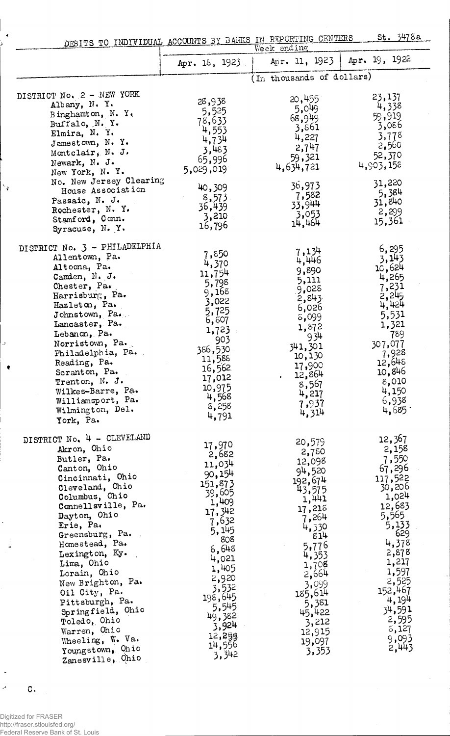DEBITS TO INDIVIDUAL: ACCOUNTS BY BANKS IN REPORTING CENTERS 5t. 54/8a.

| <i>••••••</i>                         | Week ending    |                           |                               |
|---------------------------------------|----------------|---------------------------|-------------------------------|
|                                       | Apr. 18, 1923. |                           | Apr. 11, 1923   Apr. 19, 1922 |
|                                       |                | (In thousands of dollars) |                               |
| DISTRICT No. 2 - NEW YORK             |                |                           |                               |
| Albany, N.Y.                          | 28,938         | 20,455                    | 23,137                        |
| Binghamton, N. Y.                     | 5,525          | 5,049                     | 4,338                         |
| Buffalo, N.Y.                         | 78,633         | 68,949                    | 59,919                        |
| Elmira, N. Y.                         | 4,553          | 3,861                     | 3,086                         |
| Jamestown, N. Y.                      | 4,734          | 4,227                     | 3,778                         |
| Montclair, N. J.                      | 3,483          | 2,747                     | 2,560                         |
| Newark, N. J.                         | 65,996         | 59,321                    | 52,370                        |
| New York, N. Y.                       | 5,029,019      | 4,634,721                 | 4,903,158                     |
| No. New Jersey Clearing               |                |                           | 31,220                        |
| House Association                     | 40,309         | 36,973                    | 5,384                         |
| Passaic, N. J.                        | 8,573          | 7,582<br>33.944           | 31,840                        |
| Rochester, N. Y.                      | 36,439         | 3,053                     | 2,299                         |
| Stamford, Conn.                       | 3,210          | 14,464                    | 15,361                        |
| Syracuse, N.Y.                        | 16,796         |                           |                               |
| DISTRICT No. 3 - PHILADELPHIA         |                |                           | 6,295                         |
| Allentown, Pa.                        | 7,850          | 7,134                     | 3,143                         |
| Altoona, Pa.                          | 4,370          | 4,446                     | 10,624                        |
| Camden, N. J.                         | 11,754         | 9,890<br>5,111            | 4,265                         |
| Chester, Pa.                          | 5,798          | 9,028                     | 7,231                         |
| Harrisburg, Pa.                       | 9,168          | 2,843                     | 2,245                         |
| Hazleton, Pa.                         | 3,022          | 6,026                     | 4,424                         |
| Johnstown, Pa.                        | 5,725          | 5,099                     | 5,531                         |
| Lancaster, Pa.                        | 6,607          | 1,872                     | 1,321                         |
| Lebanon, Pa.                          | 1,723<br>903   | 934                       | 789                           |
| Norristown, Pa.                       | 386,530        | 341,301                   | 307,077                       |
| Philadelphia, Pa.                     | 11,588         | 10,130                    | 7,928                         |
| Reading, Pa.                          | 16,562         | 17,900                    | 12,648                        |
| Scranton, Pa.<br>$\sim 10$            | 17,012         | 12,864                    | 10,846                        |
| Trenton, N. J.                        | 10,975         | 8,567                     | 8,010                         |
| Wilkes-Barre, Pa.                     | 4,568          | 4,217                     | 4,150                         |
| Williamsport, Pa.<br>Wilmington, Del. | 8,258          | 7,937                     | 6,938<br>4,685                |
| York, Pa.                             | 4,791          | 4,314                     |                               |
|                                       |                |                           |                               |
| DISTRICT No. 4 - CLEVELAND            | 17,970         | 20,579                    | 12,367                        |
| Akron, Ohio                           | 2,682          | 2,780                     | 2,158                         |
| Butler, Pa.                           | 11,034         | 12,098                    | 7,550                         |
| Canton, Ohio                          | 90,154         | 94,520                    | 67,296                        |
| Cincinnati, Ohio<br>Cleveland, Chio   | 151,873        | 192,674                   | 117,522<br>30,206             |
| Columbus, Ohio                        | 39,605         | 43,575                    | 1,024                         |
| Connellsville, Pa.                    | 1,409          | 1,441                     | 12,683                        |
| Dayton, Ohio                          | 17,342         | 17,215<br>7,264           | 5,565                         |
| Erie, Pa.                             | 7,632          | 4,330                     | 5,133                         |
| Greensburg, Pa.                       | 5,145          | 814                       | 629                           |
| Homestead, Pa.                        | 808            | 5,776                     | 4,378                         |
| Lexington, Ky.                        | 6,648          | 4,353                     | 2,878                         |
| Lima, Ohio                            | 4,021          | 1,708                     | 1,217                         |
| Lorain, Ohio                          | 1,405<br>2,920 | 2,664                     | 1,597                         |
| New Brighton, Pa.                     | 3,532          | 3,099                     | 2,525                         |
| Oil City, Pa.                         | 198,645        | 185,614                   | 152,467                       |
| Pittsburgh, Pa.                       | 5,545          | 5,381                     | 4,194                         |
| Springfield, Ohio                     | 49,382         | 45,422                    | 34,591                        |
| Toledo, Ohio                          | 3,924          | 3,212                     | 2,595                         |
| Warren, Ohio                          | 12,255         | 12,915                    | 5,127                         |
| Wheeling, W. Va.                      | 14,556         | 19,097                    | 9,093<br>2,443                |
| Youngstown, Ohio<br>Zanesville, Ohio  | 3,342          | 3,353                     |                               |
|                                       |                |                           |                               |

 $\mathbf{C}$ .

 $\ddot{\phantom{1}}$  $\mathcal{S}$ 

 $\rightarrow$ 

 $\mathcal{N}_{\mathbf{y}}$ 

J.

 $\bullet$ 

 $\ddot{\phantom{0}}$ 

 $\omega$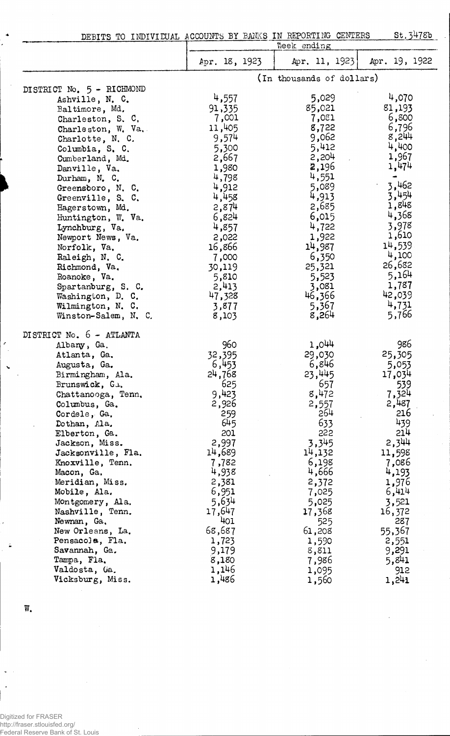|                           | Week ending   |                           |                     |  |
|---------------------------|---------------|---------------------------|---------------------|--|
|                           | Apr. 18, 1923 | Apr. 11, 1923             | Apr. 19, 1922       |  |
|                           |               | (In thousands of dollars) |                     |  |
| DISTRICT No. 5 - RICHMOND |               | 5,029                     | 4,070               |  |
| Ashville, N. C.           | 4,557         |                           |                     |  |
| Baltimore, Md.            | 91,335        | 85,021                    | 81,193              |  |
| Charleston, S. C.         | 7,001         | 7,081                     | 6,800               |  |
| Charleston, W. Va.        | 11,405        | 8,722                     | 6,796               |  |
| Charlotte, N. C.          | 9,574         | 9,062                     | 8,244               |  |
| Columbia, S. C.           | 5,300         | 5,412                     | 4,400               |  |
| Cumberland, Md.           | 2,667         | 2,204                     | 1,967               |  |
| Danville, Va.             | 1,980         | 2,196                     | 1,474               |  |
| Durham, $N_{\bullet}$ C.  | 4,798         | 4,551                     | ۰                   |  |
| Greensboro, N. C.         | 4,912         | 5,089                     | 3,462<br>$\epsilon$ |  |
| Greenville, S. C.         | 4,458         | 4,913                     | 3,454               |  |
| Hagerstown, Md.           | 2,874         | 2,685                     | 1,848               |  |
| Huntington, W. Va.        | 6,824         | 6,015                     | 4,368               |  |
| Lynchburg, Va,            | 4,857         | 4,722                     | 3,978               |  |
| Newport News, Va.         | 2,022         | 1,922                     | 1,610               |  |
| Norfolk, Va.              | 16,866        | 14,987                    | 14,539              |  |
| Raleigh, N. C.            | 7,000         | 6,350                     | 4,100               |  |
| Richmond, Va.             | 30,119        | 25,321                    | 26,682              |  |
| Roanoke, Va.              | 5,810         | 5,523                     | 5,164               |  |
| Spartanburg, S. C.        | 2,413         | 3,081                     | 1,787               |  |
| Washington, D. C.         | 47,328        | 46,366                    | 42,039              |  |
| Wilmington, N. C.         | 3,877         | 5,367                     | 4,731               |  |
| Winston-Salem, N. C.      | 8,103         | 8,264                     | 5,766               |  |
| DISTRICT No. 6 - ATLANTA  |               |                           |                     |  |
| Albany, Ga.               | 960           | 1,044                     | 986                 |  |
| Atlanta, Ga.              | 32,395        | 29,030                    | 25,305              |  |
| Augusta, Ga.              | 6,453         | 6,846                     | 5,053               |  |
| Birmingham, Ala.          | 24,768        | 23,445                    | 17,034              |  |
| Brunswick, G.,            | 625           | 657                       | 539                 |  |
| Chattanooga, Tenn.        | 9,423         | 8,472                     | 7,324               |  |
| Columbus, Ga.             | 2,926         | 2,557                     | 2,487               |  |
| Cordele, Ga.              | 259           | 264                       | 216                 |  |
| Dothan, Ala.              | 645           | 633                       | 439                 |  |
| Elberton, Ga.             | 201           | 222                       | 214                 |  |
| Jackson, Miss.            | 2,997         | 3,345                     | 2,344               |  |
| Jacksonville, Fla.        | 14,689        | 14,132                    | 11,598              |  |
| Knoxville, Tenn.          | 7,782         | 6,198                     | 7,086               |  |
| Macon, Ga.                | 4,938         | 4,666                     | 4,193               |  |
| Meridian, Miss.           | 2,381         | 2,372                     | 1,976               |  |
| Mobile, Ala.              | 6,951         | 7,025                     | 6,414               |  |
| Montgomery, Ala.          | 5,634         | 5,025                     | 3,521               |  |
| Nashville, Tenn.          | 17,647        | 17,368                    | 16,372              |  |
| Newnan, Ga.               | 401           | 525                       | 287                 |  |
| New Orleans, La.          | 68,687        | 61,208                    | 55,367              |  |
| Pensacola, Fla.           | 1,723         | 1,590                     | 2,551               |  |
| Savannah, Ga.             | 9,179         | 8,811                     | 9,291               |  |
| Tampa, Fla.               | 8,180         | 7,986                     | 5,841               |  |
| Valdosta, Ga.             | 1,146         | 1,095                     | 912                 |  |
| Vicksburg, Miss.          | 1,486         | 1,560                     | 1,241               |  |
|                           |               |                           |                     |  |

 $\overline{W}_{\bullet}$ 

 $\hat{\mathbf{z}}$ 

ż

 $\ddot{\phantom{0}}$ 

Digitized for FRASER http://fraser.stlouisfed.org/ Federal Reserve Bank of St. Louis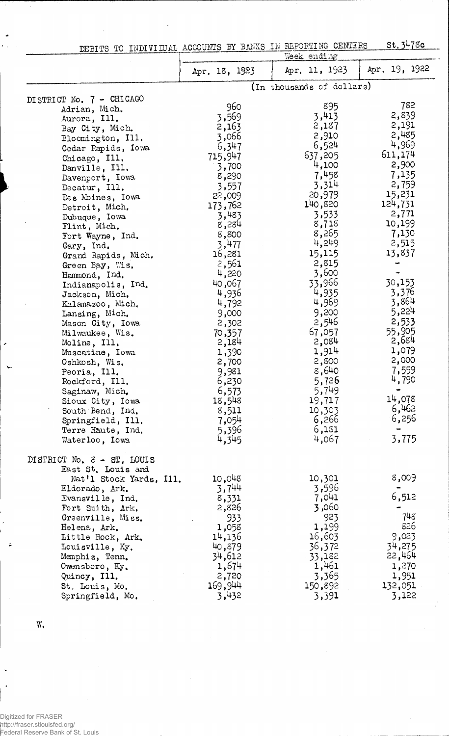DEBITS TO INDIVILUAL ACCOUNTS BY BANKS IN REPORTING CENTERS. St.3478c

 $\overline{\phantom{a}}$ 

 $\bar{\tau}$ 

 $\overline{\phantom{a}}$  $\ddot{\phantom{a}}$ 

 $\epsilon$ 

 $\ddot{\phantom{0}}$ 

 $\leq$ 

 $\ddot{\phantom{1}}$ 

|                               | Week ending   |                           |               |  |
|-------------------------------|---------------|---------------------------|---------------|--|
|                               | Apr. 18, 1923 | Apr. 11, 1923             | Apr. 19, 1922 |  |
|                               |               | (In thousands of dollars) |               |  |
| DISTRICT No. 7 - CHICAGO      |               |                           |               |  |
| Adrian, Mich.                 | 960           | 895                       | 782           |  |
| Aurora, Ill.                  | 3,569         | 3,413                     | 2,839         |  |
| Bay City, Mich.               | 2,163         | 2,137                     | 2,191         |  |
| Bloomington, Ill.             | 3,066         | 2,910                     | 2,485         |  |
| Cedar Rapids, Iowa            | 6,347         | 6,524                     | 4,969         |  |
| Chicago, Ill.                 | 715,947       | 637,205                   | 611,174       |  |
| Danville, Ill.                | 3,700         | 4,100                     | 2,900         |  |
| Davenport, Iowa               | 8,290         | 7,458                     | 7,135         |  |
| Decatur, Ill.                 | 3,557         | 3,314                     | 2,759         |  |
| Des Moines, Iowa              | 22,009        | 20,979                    | 15,231        |  |
| Detroit, Mich.                | 173,762       | 140,820                   | 124,731       |  |
| Dubuque, Iowa                 | 3,483         | 3,533                     | 2,771         |  |
| Flint, Mich.                  | 8,284         | 8,718                     | 10,199        |  |
| Fort Wayne, Ind.              | 8,800         | 8,265                     | 7,130         |  |
| Gary, Ind.                    | 3,477         | 4,249                     | 2,515         |  |
| Grand Rapids, Mich.           | 16,281        | 15,115                    | 13,837        |  |
| Green Bay, Wis.               | 2,561         | 2,815                     |               |  |
| Hammond, Ind.                 | 4,220         | 3,600                     |               |  |
| Indianapolis, Ind.            | 40,067        | 33,966                    | 30,153        |  |
| Jackson, Mich.                | 4,936         | 4,935                     | 3,376         |  |
| Kalamazoo, Mich.              | 4,792         | 4,969                     | 3,864         |  |
| Lansing, Mich.                | 9,000         | 9,200                     | 5,224         |  |
| Mason City, Iowa              | 2,302         | 2,546                     | 2,533         |  |
| Milwaukee, Wis.               | 70,357        | 67,057                    | 55,905        |  |
| Moline, Ill.                  | 2,184         | 2,084                     | 2,684         |  |
| Muscatine, Iowa               | 1,390         | 1,914                     | 1,079         |  |
| Oshkosh, Wis.                 | 2,700         | 2,800                     | 2,000         |  |
| Peoria, Ill.                  | 9,981         | 8,640                     | 7,559         |  |
| Rockford, Ill.                | 6,230         | 5,726                     | 4,790         |  |
| Saginaw, Mich.                | 6,573         | 5,749                     |               |  |
| Sioux City, Iowa              | 18,548        | 19,717                    | 14,078        |  |
| South Bend, Ind.              | 8,511         | 10,303                    | 6,462         |  |
| Springfield, Ill.             | 7,054         | 6,266                     | 6,256         |  |
| Terre Haute, Ind.             | 5,396         | 6,181                     |               |  |
| Waterloo, Iowa                | 4,345         | 4,067                     | 3,775         |  |
|                               |               |                           |               |  |
| DISTRICT No. $8 - ST$ . LOUIS |               |                           |               |  |
| East St. Louis and            |               |                           |               |  |
| Nat'l Stock Yards, Ill.       | 10,048        | 10,301                    | 8,009         |  |
| Eldorado, Ark.                | 3,744         | 3,596                     |               |  |
| Evansville, Ind.              | 8,331         | 7,041                     | 6,512         |  |
| Fort Smith, Ark.              | 2,826         | 060, 3                    |               |  |
| Greenville, Miss.             | 933           | 923                       | 748           |  |
| Helena, Ark.                  | 1,058         | 1,199                     | 826           |  |
| Little Rock, Ark.             | 14,136        | 16,603                    | 9,023         |  |
| Louisville, Ky.               | 40,879        | 36,372                    | 34,275        |  |
| Memphis, Tenn.                | 34,612        | 33,182                    | 22,464        |  |
| Owensboro, Ky.                | 1,674         | 1,461                     | 1,270         |  |
| Quincy, Ill.                  | 2,720         | 3,365                     | 1,951         |  |
| St. Louis, Mo.                | 169,944       | 150,892                   | 132,051       |  |
| Springfield, Mo.              | 3,432         | 3,391                     | 3,122         |  |

W.

Digitized for FRASER http://fraser.stlouisfed.org/ Federal Reserve Bank of St. Louis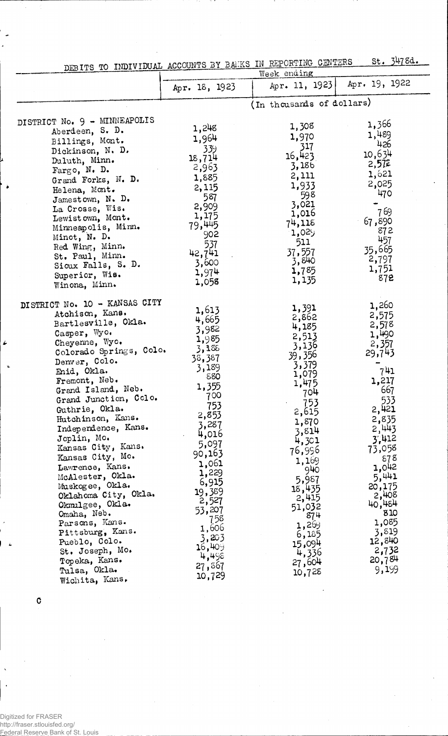| - - ידי סיד דור Trs TO INDIVIDUAL ACCOUNTS BY BANKS IN REPORTING CENTERS | St. 30700 AM TOT OUTTIMA OFFICERS St. 30700 |  |  |
|--------------------------------------------------------------------------|---------------------------------------------|--|--|

|                                                                                                                                                                                                                                                                                                                                                                                                                                                                                                                                                                                                              | Week ending                                                                                                                                                                                                                                                      |                                                                                                                                                                                                                                                                  |                                                                                                                                                                                                                                                      |
|--------------------------------------------------------------------------------------------------------------------------------------------------------------------------------------------------------------------------------------------------------------------------------------------------------------------------------------------------------------------------------------------------------------------------------------------------------------------------------------------------------------------------------------------------------------------------------------------------------------|------------------------------------------------------------------------------------------------------------------------------------------------------------------------------------------------------------------------------------------------------------------|------------------------------------------------------------------------------------------------------------------------------------------------------------------------------------------------------------------------------------------------------------------|------------------------------------------------------------------------------------------------------------------------------------------------------------------------------------------------------------------------------------------------------|
|                                                                                                                                                                                                                                                                                                                                                                                                                                                                                                                                                                                                              | Apr. 18, 1923                                                                                                                                                                                                                                                    | Apr. 11, 1923                                                                                                                                                                                                                                                    | Apr. 19, 1922                                                                                                                                                                                                                                        |
|                                                                                                                                                                                                                                                                                                                                                                                                                                                                                                                                                                                                              |                                                                                                                                                                                                                                                                  | (In thousands of dollars)                                                                                                                                                                                                                                        |                                                                                                                                                                                                                                                      |
| DISTRICT No. 9 - MINNEAPOLIS<br>Aberdeen, S. D.<br>Billings, Mont.<br>Dickinson, N. D.<br>Duluth, Minn.<br>Fargo, $N$ . D.<br>Grand Forks, N. D.<br>Helena, Mont.<br>Jamestown, $N - D$ .<br>La Crosse, Wis.<br>Lewistown, Mont.<br>Minneapolis, Minn.<br>Minot, N. D.<br>Red Wing, Minn.<br>St. Paul, Minn.                                                                                                                                                                                                                                                                                                 | 1,248<br>1,964<br>339<br>18,714<br>2,963<br>1,885<br>2,115<br>587<br>2,909<br>1,175<br><b>79,445</b><br>902<br>537<br>42,741                                                                                                                                     | 1,308<br>1,970<br>317<br>16,423<br>3,186<br>2,111<br>1,933<br>598<br>3,021<br>1,016<br>74,118<br>1,029<br>511<br>37,557                                                                                                                                          | 1,366<br>1,489<br>426<br>10,634<br>2,572<br>1,621<br>2,025<br>470<br>769<br>67,890<br>872<br>457<br>35,665                                                                                                                                           |
| Sioux Falls, S. D.<br>Superior, Wis.<br>Winona, Minn.                                                                                                                                                                                                                                                                                                                                                                                                                                                                                                                                                        | 3,600<br>1,974<br>1,058                                                                                                                                                                                                                                          | 3,840<br>1,785<br>1,135                                                                                                                                                                                                                                          | 2,797<br>1,751<br>872                                                                                                                                                                                                                                |
| DISTRICT No. 10 - KANSAS CITY<br>Atchison, Kans.<br>Bartlesville, Okla.<br>Casper, Wyo.<br>Cheyenne, Wyo.<br>Colorado Springs, Colo.<br>Denver, Colo.<br>Enid, Okla.<br>Fremont, Neb.<br>Grand Island, Neb.<br>Grand Junction, Colo.<br>Guthrie, Okla.<br>Hutchinson, Kans.<br>Independence, Kans.<br>Joplin, Mo.<br>Kansas City, Kans.<br>Kansas City, Mo.<br>Lawrence, Kans.<br>McAlester, Okla.<br>Muskogee, Okla.<br>Oklahoma City, Okla.<br>Okmilgee, Okla.<br>Omaha, Neb.<br>Parsons, Kans.<br>Pittsburg, Kans.<br>Pueblo, Colo.<br>St. Joseph, Mo.<br>Topeka, Kans.<br>Tulsa, Okla.<br>Wichita, Kans, | 1,613<br>4,665<br>3,982<br>1,985<br>3,188<br>38,387<br>3,189<br>880<br>1,355<br>700<br>753<br>2,853<br>3,287<br>4,016<br>5,097<br>90,163<br>1,061<br>1,229<br>6,915<br>19,389<br>2,527<br>53,207<br>758<br>1,606<br>3,203<br>16,409<br>4,498<br>27,867<br>10,729 | 1,391<br>2,862<br>4,185<br>2,513<br>3,136<br>39,356<br>3,379<br>1,079<br>1,475<br>704<br>753<br>2,615<br>1,870<br>3,814<br>4,301<br>76,996<br>1,169<br>940<br>5,987<br>18,435<br>2,415<br>51,032<br>874<br>1,269<br>6,185<br>15,094<br>4,336<br>27,604<br>10,728 | 1,260<br>2,575<br>2,578<br>1,490<br>2,357<br>29,743<br>741<br>1,217<br>667<br>533<br>2,421<br>2,835<br>2,443<br>3,412<br>73,058<br>878<br>1,042<br>5,441<br>20,175<br>2,408<br>40,484<br>810<br>1,085<br>3,819<br>12,840<br>2,732<br>20,784<br>9,199 |

C

Á

Digitized for FRASER http://fraser.stlouisfed.org/ Federal Reserve Bank of St. Louis